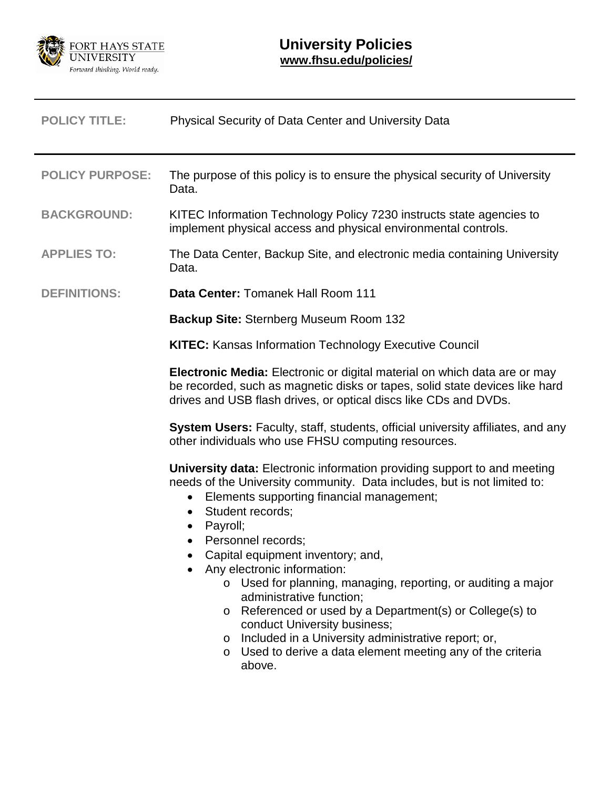

| <b>POLICY TITLE:</b>   | <b>Physical Security of Data Center and University Data</b>                                                                                                                                                                                                                                                                                                                                                                                                                                                                                                                                                                                                                                               |  |  |
|------------------------|-----------------------------------------------------------------------------------------------------------------------------------------------------------------------------------------------------------------------------------------------------------------------------------------------------------------------------------------------------------------------------------------------------------------------------------------------------------------------------------------------------------------------------------------------------------------------------------------------------------------------------------------------------------------------------------------------------------|--|--|
| <b>POLICY PURPOSE:</b> | The purpose of this policy is to ensure the physical security of University<br>Data.                                                                                                                                                                                                                                                                                                                                                                                                                                                                                                                                                                                                                      |  |  |
| <b>BACKGROUND:</b>     | KITEC Information Technology Policy 7230 instructs state agencies to<br>implement physical access and physical environmental controls.                                                                                                                                                                                                                                                                                                                                                                                                                                                                                                                                                                    |  |  |
| <b>APPLIES TO:</b>     | The Data Center, Backup Site, and electronic media containing University<br>Data.                                                                                                                                                                                                                                                                                                                                                                                                                                                                                                                                                                                                                         |  |  |
| <b>DEFINITIONS:</b>    | Data Center: Tomanek Hall Room 111                                                                                                                                                                                                                                                                                                                                                                                                                                                                                                                                                                                                                                                                        |  |  |
|                        | <b>Backup Site: Sternberg Museum Room 132</b>                                                                                                                                                                                                                                                                                                                                                                                                                                                                                                                                                                                                                                                             |  |  |
|                        | <b>KITEC:</b> Kansas Information Technology Executive Council                                                                                                                                                                                                                                                                                                                                                                                                                                                                                                                                                                                                                                             |  |  |
|                        | Electronic Media: Electronic or digital material on which data are or may<br>be recorded, such as magnetic disks or tapes, solid state devices like hard<br>drives and USB flash drives, or optical discs like CDs and DVDs.                                                                                                                                                                                                                                                                                                                                                                                                                                                                              |  |  |
|                        | <b>System Users:</b> Faculty, staff, students, official university affiliates, and any<br>other individuals who use FHSU computing resources.                                                                                                                                                                                                                                                                                                                                                                                                                                                                                                                                                             |  |  |
|                        | <b>University data:</b> Electronic information providing support to and meeting<br>needs of the University community. Data includes, but is not limited to:<br>Elements supporting financial management;<br>Student records;<br>$\bullet$<br>Payroll;<br>$\bullet$<br>Personnel records;<br>Capital equipment inventory; and,<br>Any electronic information:<br>o Used for planning, managing, reporting, or auditing a major<br>administrative function;<br>Referenced or used by a Department(s) or College(s) to<br>$\circ$<br>conduct University business;<br>Included in a University administrative report; or,<br>$\circ$<br>o Used to derive a data element meeting any of the criteria<br>above. |  |  |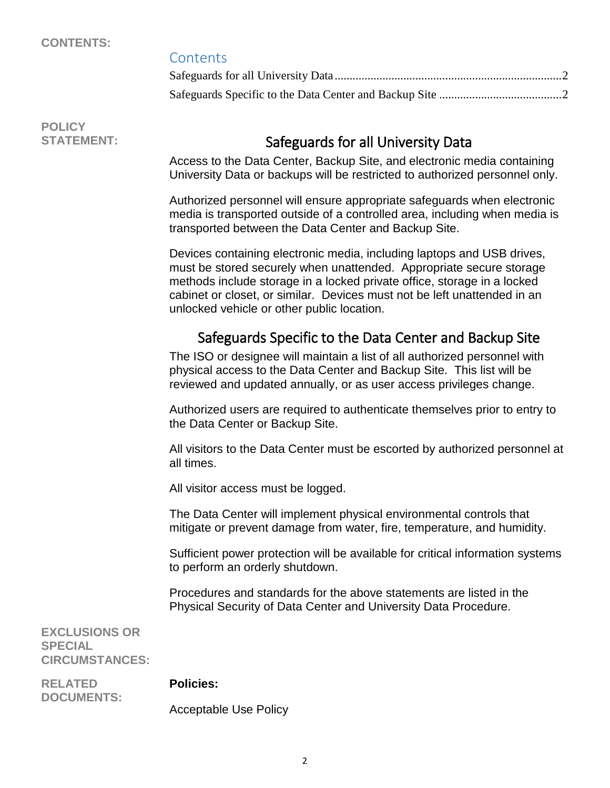### **CONTENTS:**

### **Contents**

**POLICY**

## STATEMENT: STATEMENT:

<span id="page-1-0"></span>Access to the Data Center, Backup Site, and electronic media containing University Data or backups will be restricted to authorized personnel only.

Authorized personnel will ensure appropriate safeguards when electronic media is transported outside of a controlled area, including when media is transported between the Data Center and Backup Site.

Devices containing electronic media, including laptops and USB drives, must be stored securely when unattended. Appropriate secure storage methods include storage in a locked private office, storage in a locked cabinet or closet, or similar. Devices must not be left unattended in an unlocked vehicle or other public location.

# Safeguards Specific to the Data Center and Backup Site

<span id="page-1-1"></span>The ISO or designee will maintain a list of all authorized personnel with physical access to the Data Center and Backup Site. This list will be reviewed and updated annually, or as user access privileges change.

Authorized users are required to authenticate themselves prior to entry to the Data Center or Backup Site.

All visitors to the Data Center must be escorted by authorized personnel at all times.

All visitor access must be logged.

The Data Center will implement physical environmental controls that mitigate or prevent damage from water, fire, temperature, and humidity.

Sufficient power protection will be available for critical information systems to perform an orderly shutdown.

Procedures and standards for the above statements are listed in the Physical Security of Data Center and University Data Procedure.

**EXCLUSIONS OR SPECIAL CIRCUMSTANCES:**

**RELATED DOCUMENTS:**

### **Policies:**

Acceptable Use Policy